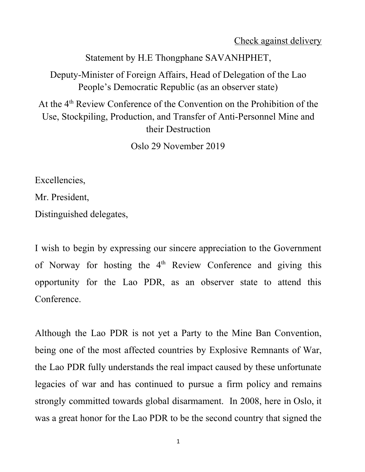Check against delivery

Statement by H.E Thongphane SAVANHPHET,

Deputy-Minister of Foreign Affairs, Head of Delegation of the Lao People's Democratic Republic (as an observer state)

At the 4<sup>th</sup> Review Conference of the Convention on the Prohibition of the Use, Stockpiling, Production, and Transfer of Anti-Personnel Mine and their Destruction

Oslo 29 November 2019

Excellencies,

Mr. President,

Distinguished delegates,

I wish to begin by expressing our sincere appreciation to the Government of Norway for hosting the 4<sup>th</sup> Review Conference and giving this opportunity for the Lao PDR, as an observer state to attend this Conference.

Although the Lao PDR is not yet a Party to the Mine Ban Convention, being one of the most affected countries by Explosive Remnants of War, the Lao PDR fully understands the real impact caused by these unfortunate legacies of war and has continued to pursue a firm policy and remains strongly committed towards global disarmament. In 2008, here in Oslo, it was a great honor for the Lao PDR to be the second country that signed the

1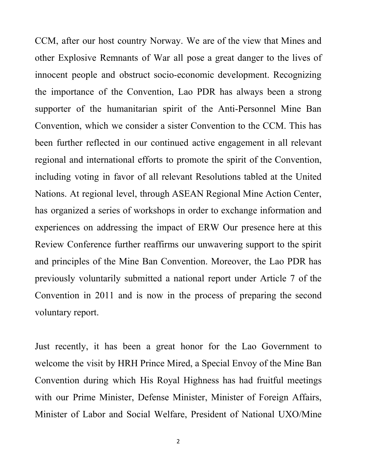CCM, after our host country Norway. We are of the view that Mines and other Explosive Remnants of War all pose a great danger to the lives of innocent people and obstruct socio-economic development. Recognizing the importance of the Convention, Lao PDR has always been a strong supporter of the humanitarian spirit of the Anti-Personnel Mine Ban Convention, which we consider a sister Convention to the CCM. This has been further reflected in our continued active engagement in all relevant regional and international efforts to promote the spirit of the Convention, including voting in favor of all relevant Resolutions tabled at the United Nations. At regional level, through ASEAN Regional Mine Action Center, has organized a series of workshops in order to exchange information and experiences on addressing the impact of ERW Our presence here at this Review Conference further reaffirms our unwavering support to the spirit and principles of the Mine Ban Convention. Moreover, the Lao PDR has previously voluntarily submitted a national report under Article 7 of the Convention in 2011 and is now in the process of preparing the second voluntary report.

Just recently, it has been a great honor for the Lao Government to welcome the visit by HRH Prince Mired, a Special Envoy of the Mine Ban Convention during which His Royal Highness has had fruitful meetings with our Prime Minister, Defense Minister, Minister of Foreign Affairs, Minister of Labor and Social Welfare, President of National UXO/Mine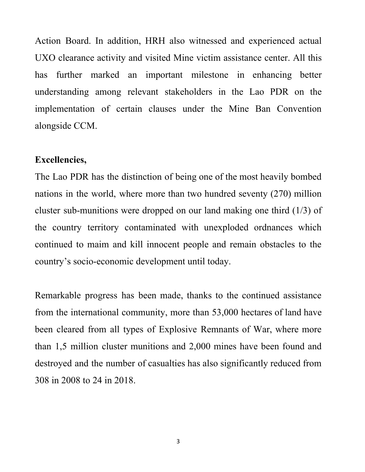Action Board. In addition, HRH also witnessed and experienced actual UXO clearance activity and visited Mine victim assistance center. All this has further marked an important milestone in enhancing better understanding among relevant stakeholders in the Lao PDR on the implementation of certain clauses under the Mine Ban Convention alongside CCM.

## **Excellencies,**

The Lao PDR has the distinction of being one of the most heavily bombed nations in the world, where more than two hundred seventy (270) million cluster sub-munitions were dropped on our land making one third (1/3) of the country territory contaminated with unexploded ordnances which continued to maim and kill innocent people and remain obstacles to the country's socio-economic development until today.

Remarkable progress has been made, thanks to the continued assistance from the international community, more than 53,000 hectares of land have been cleared from all types of Explosive Remnants of War, where more than 1,5 million cluster munitions and 2,000 mines have been found and destroyed and the number of casualties has also significantly reduced from 308 in 2008 to 24 in 2018.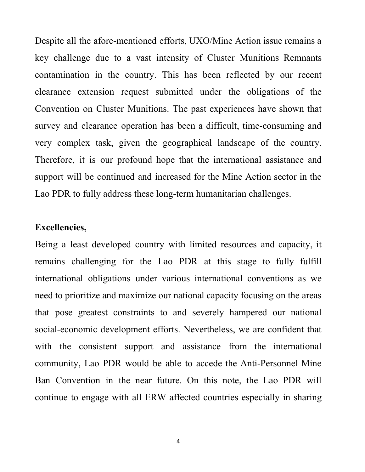Despite all the afore-mentioned efforts, UXO/Mine Action issue remains a key challenge due to a vast intensity of Cluster Munitions Remnants contamination in the country. This has been reflected by our recent clearance extension request submitted under the obligations of the Convention on Cluster Munitions. The past experiences have shown that survey and clearance operation has been a difficult, time-consuming and very complex task, given the geographical landscape of the country. Therefore, it is our profound hope that the international assistance and support will be continued and increased for the Mine Action sector in the Lao PDR to fully address these long-term humanitarian challenges.

## **Excellencies,**

Being a least developed country with limited resources and capacity, it remains challenging for the Lao PDR at this stage to fully fulfill international obligations under various international conventions as we need to prioritize and maximize our national capacity focusing on the areas that pose greatest constraints to and severely hampered our national social-economic development efforts. Nevertheless, we are confident that with the consistent support and assistance from the international community, Lao PDR would be able to accede the Anti-Personnel Mine Ban Convention in the near future. On this note, the Lao PDR will continue to engage with all ERW affected countries especially in sharing